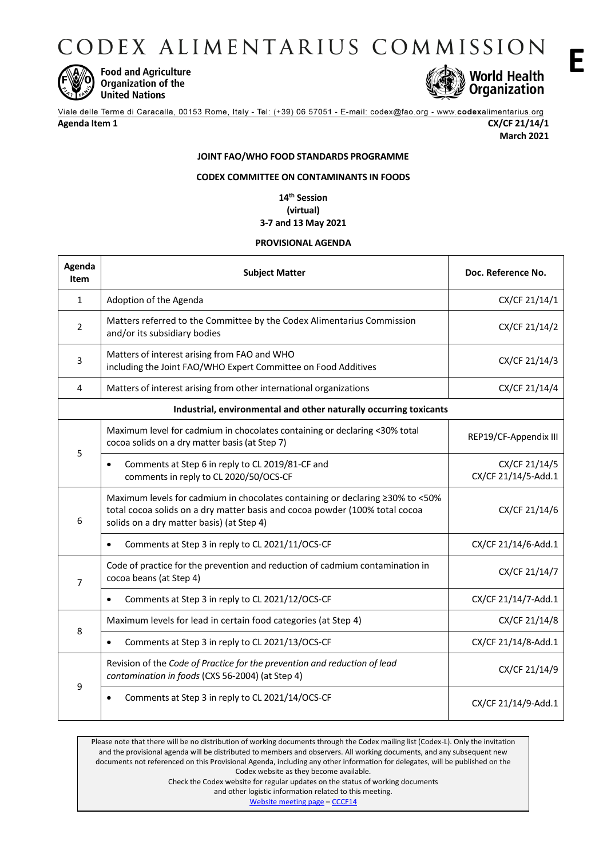CODEX ALIMENTARIUS COMMISSION



**Food and Agriculture Organization of the United Nations** 



Viale delle Terme di Caracalla, 00153 Rome, Italy - Tel: (+39) 06 57051 - E-mail: codex@fao.org - www.codexalimentarius.org

# **Agenda Item 1 CX/CF 21/14/1**

**March 2021**

# **JOINT FAO/WHO FOOD STANDARDS PROGRAMME**

# **CODEX COMMITTEE ON CONTAMINANTS IN FOODS**

**14 th Session (virtual) 3-7 and 13 May 2021**

#### **PROVISIONAL AGENDA**

| Agenda<br>Item                                                    | <b>Subject Matter</b>                                                                                                                                                                                     | Doc. Reference No.                   |  |
|-------------------------------------------------------------------|-----------------------------------------------------------------------------------------------------------------------------------------------------------------------------------------------------------|--------------------------------------|--|
| 1                                                                 | Adoption of the Agenda                                                                                                                                                                                    | CX/CF 21/14/1                        |  |
| $\overline{2}$                                                    | Matters referred to the Committee by the Codex Alimentarius Commission<br>and/or its subsidiary bodies                                                                                                    | CX/CF 21/14/2                        |  |
| 3                                                                 | Matters of interest arising from FAO and WHO<br>including the Joint FAO/WHO Expert Committee on Food Additives                                                                                            | CX/CF 21/14/3                        |  |
| $\overline{4}$                                                    | Matters of interest arising from other international organizations                                                                                                                                        | CX/CF 21/14/4                        |  |
| Industrial, environmental and other naturally occurring toxicants |                                                                                                                                                                                                           |                                      |  |
| 5                                                                 | Maximum level for cadmium in chocolates containing or declaring <30% total<br>cocoa solids on a dry matter basis (at Step 7)                                                                              | REP19/CF-Appendix III                |  |
|                                                                   | Comments at Step 6 in reply to CL 2019/81-CF and<br>$\bullet$<br>comments in reply to CL 2020/50/OCS-CF                                                                                                   | CX/CF 21/14/5<br>CX/CF 21/14/5-Add.1 |  |
| 6                                                                 | Maximum levels for cadmium in chocolates containing or declaring ≥30% to <50%<br>total cocoa solids on a dry matter basis and cocoa powder (100% total cocoa<br>solids on a dry matter basis) (at Step 4) | CX/CF 21/14/6                        |  |
|                                                                   | Comments at Step 3 in reply to CL 2021/11/OCS-CF<br>$\bullet$                                                                                                                                             | CX/CF 21/14/6-Add.1                  |  |
| $\overline{7}$                                                    | Code of practice for the prevention and reduction of cadmium contamination in<br>cocoa beans (at Step 4)                                                                                                  | CX/CF 21/14/7                        |  |
|                                                                   | Comments at Step 3 in reply to CL 2021/12/OCS-CF<br>$\bullet$                                                                                                                                             | CX/CF 21/14/7-Add.1                  |  |
| 8                                                                 | Maximum levels for lead in certain food categories (at Step 4)                                                                                                                                            | CX/CF 21/14/8                        |  |
|                                                                   | Comments at Step 3 in reply to CL 2021/13/OCS-CF<br>٠                                                                                                                                                     | CX/CF 21/14/8-Add.1                  |  |
| 9                                                                 | Revision of the Code of Practice for the prevention and reduction of lead<br>contamination in foods (CXS 56-2004) (at Step 4)                                                                             | CX/CF 21/14/9                        |  |
|                                                                   | Comments at Step 3 in reply to CL 2021/14/OCS-CF                                                                                                                                                          | CX/CF 21/14/9-Add.1                  |  |

Please note that there will be no distribution of working documents through the Codex mailing list (Codex-L). Only the invitation and the provisional agenda will be distributed to members and observers. All working documents, and any subsequent new documents not referenced on this Provisional Agenda, including any other information for delegates, will be published on the Codex website as they become available. Check the Codex website for regular updates on the status of working documents

and other logistic information related to this meeting.

[Website meeting page](http://www.fao.org/fao-who-codexalimentarius/meetings-reports/en/) – [CCCF14](http://www.fao.org/fao-who-codexalimentarius/meetings-reports/detail/en/?meeting=CCCF&session=14)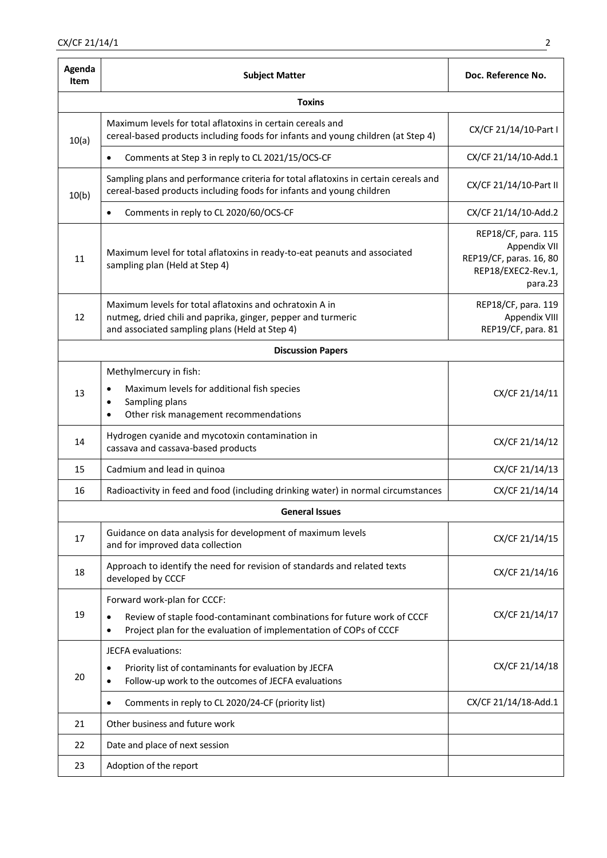| Agenda<br><b>Item</b>    | <b>Subject Matter</b>                                                                                                                                                      | Doc. Reference No.                                                                              |  |
|--------------------------|----------------------------------------------------------------------------------------------------------------------------------------------------------------------------|-------------------------------------------------------------------------------------------------|--|
| <b>Toxins</b>            |                                                                                                                                                                            |                                                                                                 |  |
| 10(a)                    | Maximum levels for total aflatoxins in certain cereals and<br>cereal-based products including foods for infants and young children (at Step 4)                             | CX/CF 21/14/10-Part I                                                                           |  |
|                          | Comments at Step 3 in reply to CL 2021/15/OCS-CF                                                                                                                           | CX/CF 21/14/10-Add.1                                                                            |  |
| 10(b)                    | Sampling plans and performance criteria for total aflatoxins in certain cereals and<br>cereal-based products including foods for infants and young children                | CX/CF 21/14/10-Part II                                                                          |  |
|                          | Comments in reply to CL 2020/60/OCS-CF                                                                                                                                     | CX/CF 21/14/10-Add.2                                                                            |  |
| 11                       | Maximum level for total aflatoxins in ready-to-eat peanuts and associated<br>sampling plan (Held at Step 4)                                                                | REP18/CF, para. 115<br>Appendix VII<br>REP19/CF, paras. 16, 80<br>REP18/EXEC2-Rev.1,<br>para.23 |  |
| 12                       | Maximum levels for total aflatoxins and ochratoxin A in<br>nutmeg, dried chili and paprika, ginger, pepper and turmeric<br>and associated sampling plans (Held at Step 4)  | REP18/CF, para. 119<br>Appendix VIII<br>REP19/CF, para. 81                                      |  |
| <b>Discussion Papers</b> |                                                                                                                                                                            |                                                                                                 |  |
| 13                       | Methylmercury in fish:<br>Maximum levels for additional fish species<br>Sampling plans<br>Other risk management recommendations<br>$\bullet$                               | CX/CF 21/14/11                                                                                  |  |
| 14                       | Hydrogen cyanide and mycotoxin contamination in<br>cassava and cassava-based products                                                                                      | CX/CF 21/14/12                                                                                  |  |
| 15                       | Cadmium and lead in quinoa                                                                                                                                                 | CX/CF 21/14/13                                                                                  |  |
| 16                       | Radioactivity in feed and food (including drinking water) in normal circumstances                                                                                          | CX/CF 21/14/14                                                                                  |  |
| <b>General Issues</b>    |                                                                                                                                                                            |                                                                                                 |  |
| 17                       | Guidance on data analysis for development of maximum levels<br>and for improved data collection                                                                            | CX/CF 21/14/15                                                                                  |  |
| 18                       | Approach to identify the need for revision of standards and related texts<br>developed by CCCF                                                                             | CX/CF 21/14/16                                                                                  |  |
| 19                       | Forward work-plan for CCCF:<br>Review of staple food-contaminant combinations for future work of CCCF<br>Project plan for the evaluation of implementation of COPs of CCCF | CX/CF 21/14/17                                                                                  |  |
| 20                       | JECFA evaluations:<br>Priority list of contaminants for evaluation by JECFA<br>Follow-up work to the outcomes of JECFA evaluations                                         | CX/CF 21/14/18                                                                                  |  |
|                          | Comments in reply to CL 2020/24-CF (priority list)<br>٠                                                                                                                    | CX/CF 21/14/18-Add.1                                                                            |  |
| 21                       | Other business and future work                                                                                                                                             |                                                                                                 |  |
| 22                       | Date and place of next session                                                                                                                                             |                                                                                                 |  |
| 23                       | Adoption of the report                                                                                                                                                     |                                                                                                 |  |